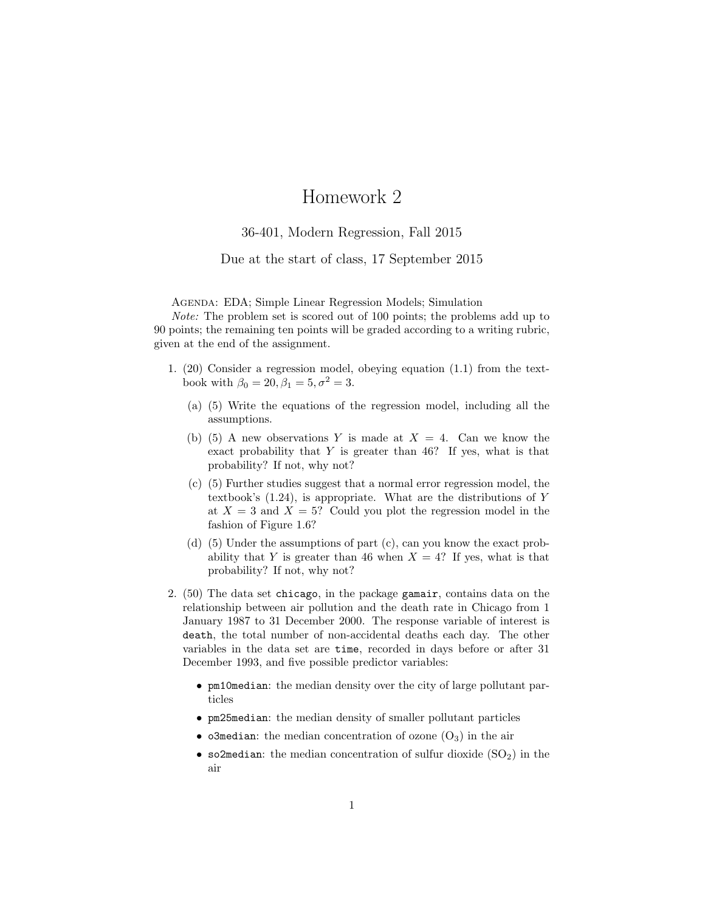## Homework 2

## 36-401, Modern Regression, Fall 2015

## Due at the start of class, 17 September 2015

Agenda: EDA; Simple Linear Regression Models; Simulation

Note: The problem set is scored out of 100 points; the problems add up to 90 points; the remaining ten points will be graded according to a writing rubric, given at the end of the assignment.

- 1. (20) Consider a regression model, obeying equation (1.1) from the textbook with  $\beta_0 = 20, \beta_1 = 5, \sigma^2 = 3.$ 
	- (a) (5) Write the equations of the regression model, including all the assumptions.
	- (b) (5) A new observations Y is made at  $X = 4$ . Can we know the exact probability that  $Y$  is greater than 46? If yes, what is that probability? If not, why not?
	- (c) (5) Further studies suggest that a normal error regression model, the textbook's (1.24), is appropriate. What are the distributions of Y at  $X = 3$  and  $X = 5$ ? Could you plot the regression model in the fashion of Figure 1.6?
	- (d) (5) Under the assumptions of part (c), can you know the exact probability that Y is greater than 46 when  $X = 4$ ? If yes, what is that probability? If not, why not?
- 2. (50) The data set chicago, in the package gamair, contains data on the relationship between air pollution and the death rate in Chicago from 1 January 1987 to 31 December 2000. The response variable of interest is death, the total number of non-accidental deaths each day. The other variables in the data set are time, recorded in days before or after 31 December 1993, and five possible predictor variables:
	- pm10median: the median density over the city of large pollutant particles
	- pm25median: the median density of smaller pollutant particles
	- o3median: the median concentration of ozone  $(O_3)$  in the air
	- so2median: the median concentration of sulfur dioxide  $(SO<sub>2</sub>)$  in the air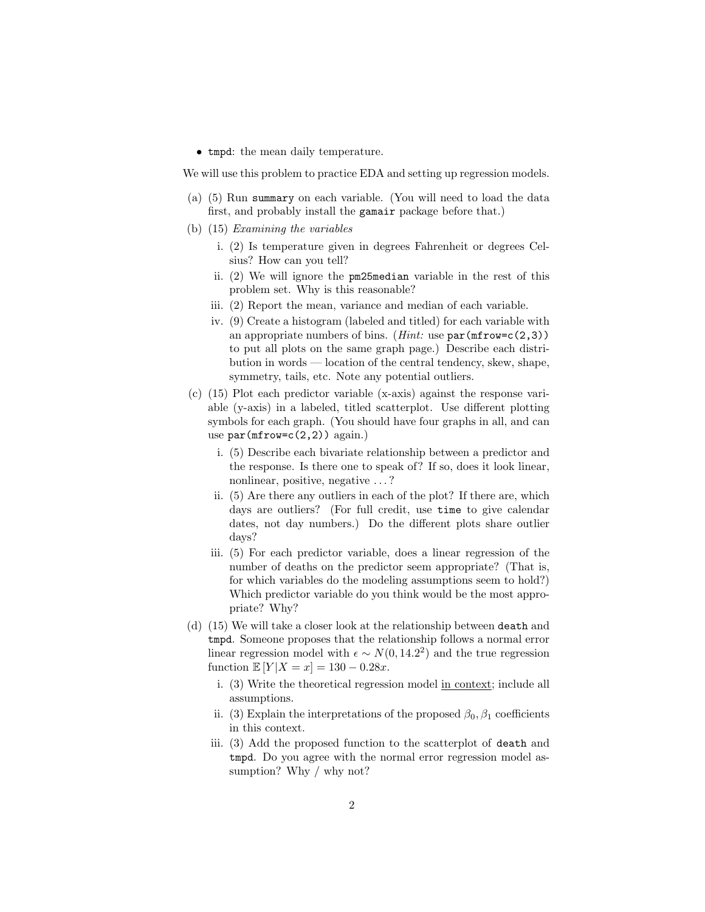• tmpd: the mean daily temperature.

We will use this problem to practice EDA and setting up regression models.

- (a) (5) Run summary on each variable. (You will need to load the data first, and probably install the gamair package before that.)
- (b) (15) Examining the variables
	- i. (2) Is temperature given in degrees Fahrenheit or degrees Celsius? How can you tell?
	- ii. (2) We will ignore the pm25median variable in the rest of this problem set. Why is this reasonable?
	- iii. (2) Report the mean, variance and median of each variable.
	- iv. (9) Create a histogram (labeled and titled) for each variable with an appropriate numbers of bins. (*Hint:* use  $\text{par}(\text{mfrow}=c(2,3))$ ) to put all plots on the same graph page.) Describe each distribution in words — location of the central tendency, skew, shape, symmetry, tails, etc. Note any potential outliers.
- (c) (15) Plot each predictor variable (x-axis) against the response variable (y-axis) in a labeled, titled scatterplot. Use different plotting symbols for each graph. (You should have four graphs in all, and can use  $par(mfrow=c(2,2))$  again.)
	- i. (5) Describe each bivariate relationship between a predictor and the response. Is there one to speak of? If so, does it look linear, nonlinear, positive, negative . . . ?
	- ii. (5) Are there any outliers in each of the plot? If there are, which days are outliers? (For full credit, use time to give calendar dates, not day numbers.) Do the different plots share outlier days?
	- iii. (5) For each predictor variable, does a linear regression of the number of deaths on the predictor seem appropriate? (That is, for which variables do the modeling assumptions seem to hold?) Which predictor variable do you think would be the most appropriate? Why?
- (d) (15) We will take a closer look at the relationship between death and tmpd. Someone proposes that the relationship follows a normal error linear regression model with  $\epsilon \sim N(0, 14.2^2)$  and the true regression function  $\mathbb{E}[Y|X=x] = 130 - 0.28x$ .
	- i. (3) Write the theoretical regression model in context; include all assumptions.
	- ii. (3) Explain the interpretations of the proposed  $\beta_0$ ,  $\beta_1$  coefficients in this context.
	- iii. (3) Add the proposed function to the scatterplot of death and tmpd. Do you agree with the normal error regression model assumption? Why / why not?